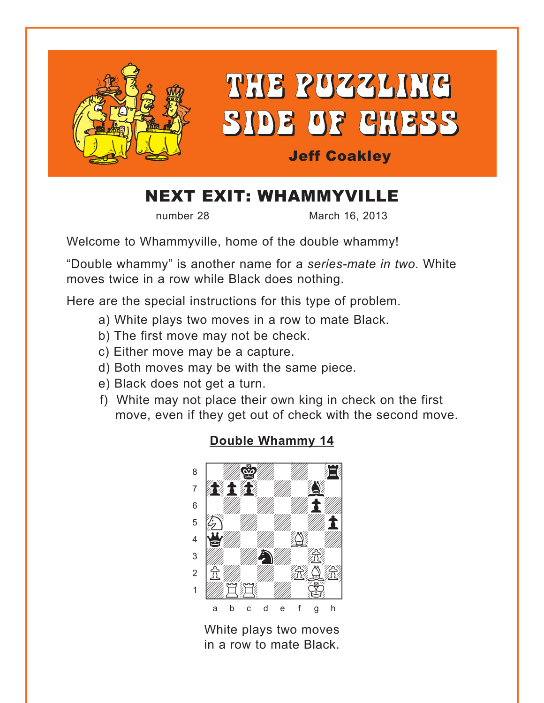<span id="page-0-0"></span>

# NEXT EXIT: WHAMMYVILLE

number 28 March 16, 2013

Welcome to Whammyville, home of the double whammy!

"Double whammy" is another name for a *series-mate in two*. White moves twice in a row while Black does nothing.

Here are the special instructions for this type of problem.

- a) White plays two moves in a row to mate Black.
- b) The first move may not be check.
- c) Either move may be a capture.
- d) Both moves may be with the same piece.
- e) Black does not get a turn.
- f) White may not place their own king in check on the first move, even if they get out of check with the second move.

# where  $\frac{w}{2}$  is the set of  $\frac{w}{2}$  $\delta$  and  $\delta$  and  $\delta$ **book and the second second the second second second second second second second second second second second se**  $\begin{bmatrix} \begin{array}{c} \end{array} \\ \end{bmatrix}$  $\mathbf{E}$ 4 **Yulit 1989**  $\frac{1}{2}$  $2$   $\frac{1}{10}$   $\frac{1}{10}$   $\frac{1}{10}$   $\frac{1}{10}$  $\frac{1}{2}$ a b c d e f g h

White plays two moves in a row to mate Black.

## **[Double Whammy 14](#page-3-0)**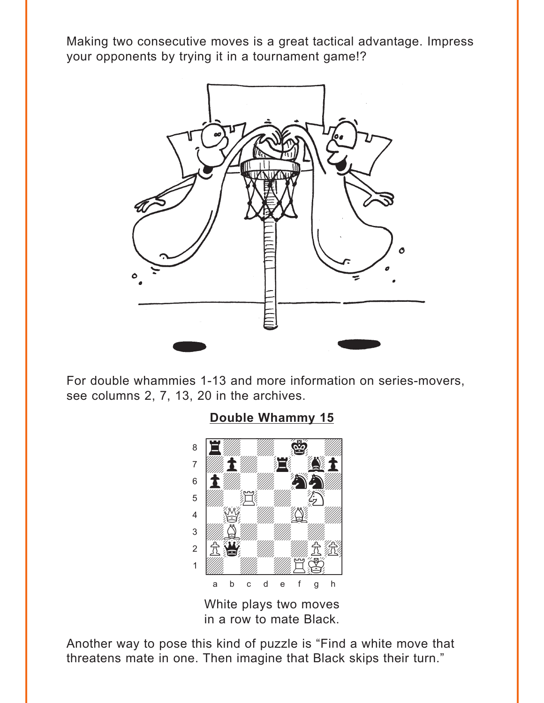<span id="page-1-0"></span>Making two consecutive moves is a great tactical advantage. Impress your opponents by trying it in a tournament game!?



For double whammies 1-13 and more information on series-movers, see columns 2, 7, 13, 20 in the archives.



## White plays two moves in a row to mate Black.

Another way to pose this kind of puzzle is "Find a white move that threatens mate in one. Then imagine that Black skips their turn."

#### **[Double Whammy 15](#page-3-0)** where  $\frac{1}{\sqrt{2}}$  and  $\frac{1}{\sqrt{2}}$  and  $\frac{1}{\sqrt{2}}$  and  $\frac{1}{\sqrt{2}}$  and  $\frac{1}{\sqrt{2}}$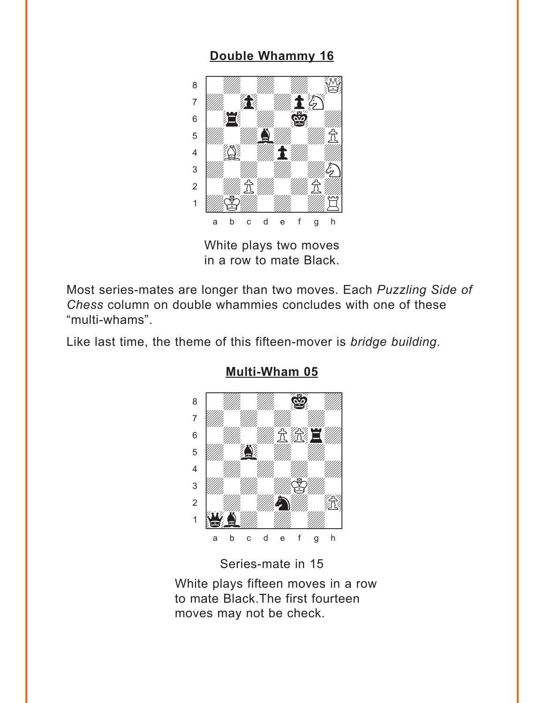## **[Double Whammy 16](#page-4-0)**

<span id="page-2-0"></span>

White plays two moves in a row to mate Black.

Most series-mates are longer than two moves. Each *Puzzling Side of Chess* column on double whammies concludes with one of these "multi-whams".

Like last time, the theme of this fifteen-mover is *bridge building*.



### **[Multi-Wham 05](#page-4-0)**

Series-mate in 15

White plays fifteen moves in a row to mate Black.The first fourteen moves may not be check.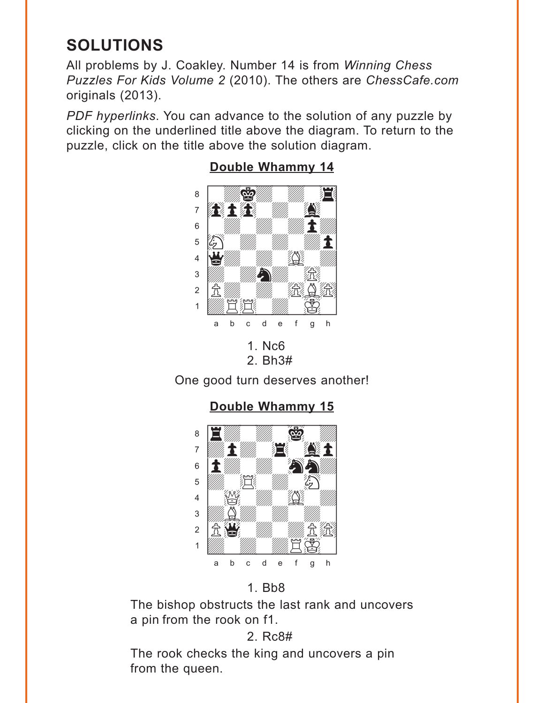# <span id="page-3-0"></span>**SOLUTIONS**

All problems by J. Coakley. Number 14 is from Winning Chess Puzzles For Kids Volume 2 (2010). The others are ChessCafe.com originals (2013).

PDF hyperlinks. You can advance to the solution of any puzzle by clicking on the underlined title above the diagram. To return to the puzzle, click on the title above the solution diagram.



### **Double Whammy 14**

One good turn deserves another!

Double Whammy 15



## $1.$  Bb $8$

The bishop obstructs the last rank and uncovers a pin from the rook on f1.

## 2. Rc8#

The rook checks the king and uncovers a pin from the queen.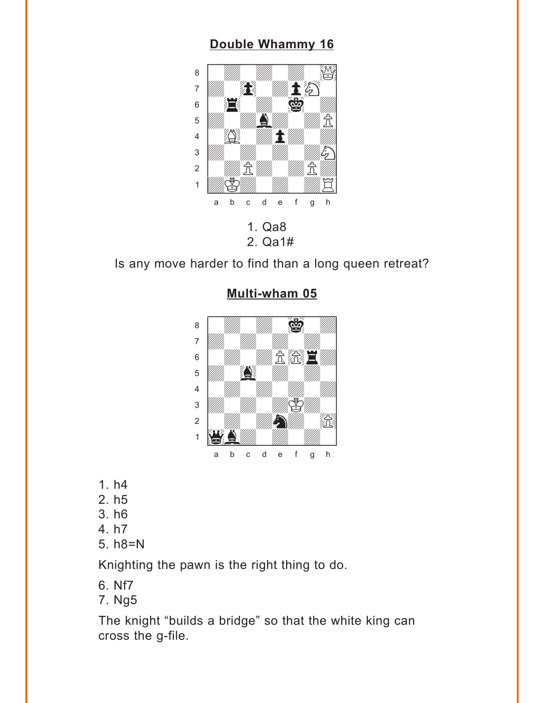### **[Double Whammy 16](#page-2-0)**

<span id="page-4-0"></span>

2. Qa1#

Is any move harder to find than a long queen retreat?



#### **[Multi-wham 05](#page-2-0)**

- 1. h4
- 2. h5
- 3. h6
- 4. h7
- 5. h8=N

Knighting the pawn is the right thing to do.

- 6. Nf7
- 7. Ng5

The knight "builds a bridge" so that the white king can cross the g-file.